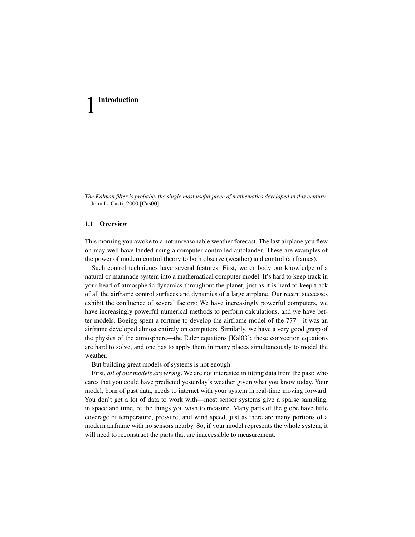*The Kalman filter is probably the single most useful piece of mathematics developed in this century.* —John L. Casti, 2000 [Cas00]

# **1.1 Overview**

This morning you awoke to a not unreasonable weather forecast. The last airplane you flew on may well have landed using a computer controlled autolander. These are examples of the power of modern control theory to both observe (weather) and control (airframes).

Such control techniques have several features. First, we embody our knowledge of a natural or manmade system into a mathematical computer model. It's hard to keep track in your head of atmospheric dynamics throughout the planet, just as it is hard to keep track of all the airframe control surfaces and dynamics of a large airplane. Our recent successes exhibit the confluence of several factors: We have increasingly powerful computers, we have increasingly powerful numerical methods to perform calculations, and we have better models. Boeing spent a fortune to develop the airframe model of the 777—it was an airframe developed almost entirely on computers. Similarly, we have a very good grasp of the physics of the atmosphere—the Euler equations [Kal03]; these convection equations are hard to solve, and one has to apply them in many places simultaneously to model the weather.

But building great models of systems is not enough.

First, *all of our models are wrong*. We are not interested in fitting data from the past; who cares that you could have predicted yesterday's weather given what you know today. Your model, born of past data, needs to interact with your system in real-time moving forward. You don't get a lot of data to work with—most sensor systems give a sparse sampling, in space and time, of the things you wish to measure. Many parts of the globe have little coverage of temperature, pressure, and wind speed, just as there are many portions of a modern airframe with no sensors nearby. So, if your model represents the whole system, it will need to reconstruct the parts that are inaccessible to measurement.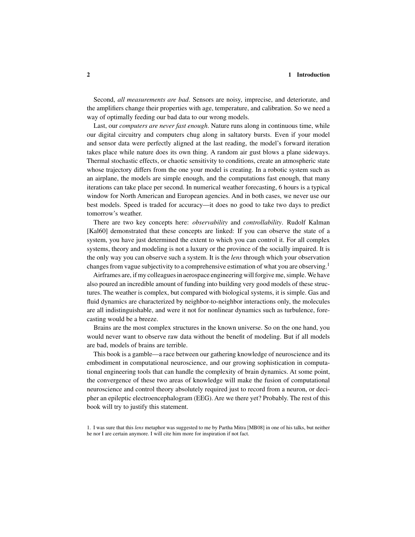Second, *all measurements are bad*. Sensors are noisy, imprecise, and deteriorate, and the amplifiers change their properties with age, temperature, and calibration. So we need a way of optimally feeding our bad data to our wrong models.

Last, our *computers are never fast enough*. Nature runs along in continuous time, while our digital circuitry and computers chug along in saltatory bursts. Even if your model and sensor data were perfectly aligned at the last reading, the model's forward iteration takes place while nature does its own thing. A random air gust blows a plane sideways. Thermal stochastic effects, or chaotic sensitivity to conditions, create an atmospheric state whose trajectory differs from the one your model is creating. In a robotic system such as an airplane, the models are simple enough, and the computations fast enough, that many iterations can take place per second. In numerical weather forecasting, 6 hours is a typical window for North American and European agencies. And in both cases, we never use our best models. Speed is traded for accuracy—it does no good to take two days to predict tomorrow's weather.

There are two key concepts here: *observability* and *controllability*. Rudolf Kalman [Kal60] demonstrated that these concepts are linked: If you can observe the state of a system, you have just determined the extent to which you can control it. For all complex systems, theory and modeling is not a luxury or the province of the socially impaired. It is the only way you can observe such a system. It is the *lens* through which your observation changes from vague subjectivity to a comprehensive estimation of what you are observing.<sup>1</sup>

Airframes are, if my colleagues in aerospace engineering will forgive me, simple. We have also poured an incredible amount of funding into building very good models of these structures. The weather is complex, but compared with biological systems, it is simple. Gas and fluid dynamics are characterized by neighbor-to-neighbor interactions only, the molecules are all indistinguishable, and were it not for nonlinear dynamics such as turbulence, forecasting would be a breeze.

Brains are the most complex structures in the known universe. So on the one hand, you would never want to observe raw data without the benefit of modeling. But if all models are bad, models of brains are terrible.

This book is a gamble—a race between our gathering knowledge of neuroscience and its embodiment in computational neuroscience, and our growing sophistication in computational engineering tools that can handle the complexity of brain dynamics. At some point, the convergence of these two areas of knowledge will make the fusion of computational neuroscience and control theory absolutely required just to record from a neuron, or decipher an epileptic electroencephalogram (EEG). Are we there yet? Probably. The rest of this book will try to justify this statement.

<sup>1.</sup> I was sure that this *lens* metaphor was suggested to me by Partha Mitra [MB08] in one of his talks, but neither he nor I are certain anymore. I will cite him more for inspiration if not fact.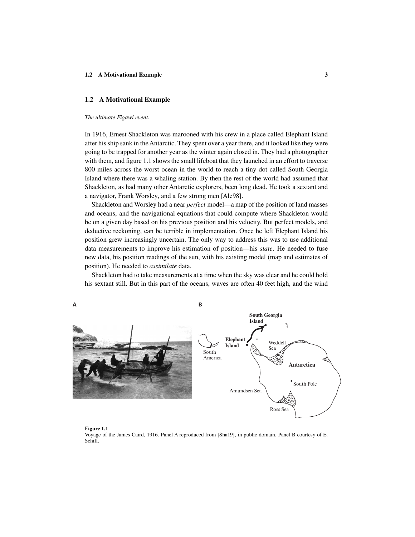# **1.2 A Motivational Example**

#### *The ultimate Figawi event.*

In 1916, Ernest Shackleton was marooned with his crew in a place called Elephant Island after his ship sank in the Antarctic. They spent over a year there, and it looked like they were going to be trapped for another year as the winter again closed in. They had a photographer with them, and figure 1.1 shows the small lifeboat that they launched in an effort to traverse 800 miles across the worst ocean in the world to reach a tiny dot called South Georgia Island where there was a whaling station. By then the rest of the world had assumed that Shackleton, as had many other Antarctic explorers, been long dead. He took a sextant and a navigator, Frank Worsley, and a few strong men [Ale98].

Shackleton and Worsley had a near *perfect* model—a map of the position of land masses and oceans, and the navigational equations that could compute where Shackleton would be on a given day based on his previous position and his velocity. But perfect models, and deductive reckoning, can be terrible in implementation. Once he left Elephant Island his position grew increasingly uncertain. The only way to address this was to use additional data measurements to improve his estimation of position—his *state*. He needed to fuse new data, his position readings of the sun, with his existing model (map and estimates of position). He needed to *assimilate* data.

Shackleton had to take measurements at a time when the sky was clear and he could hold his sextant still. But in this part of the oceans, waves are often 40 feet high, and the wind



## **Figure 1.1**

Voyage of the James Caird, 1916. Panel A reproduced from [Sha19], in public domain. Panel B courtesy of E. Schiff.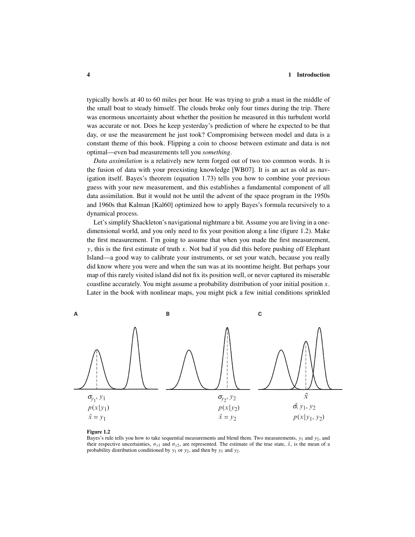typically howls at 40 to 60 miles per hour. He was trying to grab a mast in the middle of the small boat to steady himself. The clouds broke only four times during the trip. There was enormous uncertainty about whether the position he measured in this turbulent world was accurate or not. Does he keep yesterday's prediction of where he expected to be that day, or use the measurement he just took? Compromising between model and data is a constant theme of this book. Flipping a coin to choose between estimate and data is not optimal—even bad measurements tell you *something*.

*Data assimilation* is a relatively new term forged out of two too common words. It is the fusion of data with your preexisting knowledge [WB07]. It is an act as old as navigation itself. Bayes's theorem (equation 1.73) tells you how to combine your previous guess with your new measurement, and this establishes a fundamental component of all data assimilation. But it would not be until the advent of the space program in the 1950s and 1960s that Kalman [Kal60] optimized how to apply Bayes's formula recursively to a dynamical process.

Let's simplify Shackleton's navigational nightmare a bit. Assume you are living in a onedimensional world, and you only need to fix your position along a line (figure 1.2). Make the first measurement. I'm going to assume that when you made the first measurement, *y*, this is the first estimate of truth *x*. Not bad if you did this before pushing off Elephant Island—a good way to calibrate your instruments, or set your watch, because you really did know where you were and when the sun was at its noontime height. But perhaps your map of this rarely visited island did not fix its position well, or never captured its miserable coastline accurately. You might assume a probability distribution of your initial position *x*. Later in the book with nonlinear maps, you might pick a few initial conditions sprinkled



#### **Figure 1.2**

Bayes's rule tells you how to take sequential measurements and blend them. Two measurements, *y*<sup>1</sup> and *y*2, and their respective uncertainties,  $\sigma_{v1}$  and  $\sigma_{v2}$ , are represented. The estimate of the true state,  $\hat{x}$ , is the mean of a probability distribution conditioned by  $y_1$  or  $y_2$ , and then by  $y_1$  and  $y_2$ .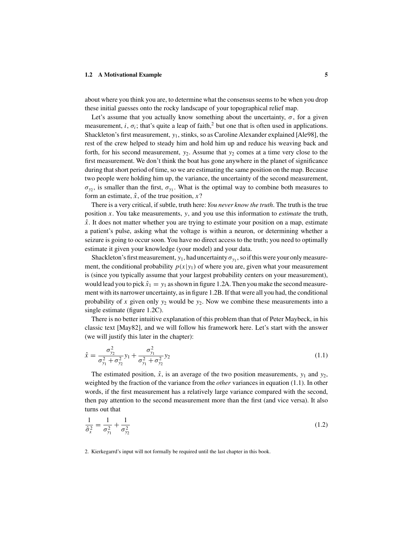## **1.2 A Motivational Example 5**

about where you think you are, to determine what the consensus seems to be when you drop these initial guesses onto the rocky landscape of your topographical relief map.

Let's assume that you actually know something about the uncertainty,  $\sigma$ , for a given measurement, *i*,  $\sigma_i$ ; that's quite a leap of faith,<sup>2</sup> but one that is often used in applications. Shackleton's first measurement, *y*1, stinks, so as Caroline Alexander explained [Ale98], the rest of the crew helped to steady him and hold him up and reduce his weaving back and forth, for his second measurement,  $y_2$ . Assume that  $y_2$  comes at a time very close to the first measurement. We don't think the boat has gone anywhere in the planet of significance during that short period of time, so we are estimating the same position on the map. Because two people were holding him up, the variance, the uncertainty of the second measurement,  $\sigma_{y_2}$ , is smaller than the first,  $\sigma_{y_1}$ . What is the optimal way to combine both measures to form an estimate,  $\hat{x}$ , of the true position,  $x$ ?

There is a very critical, if subtle, truth here: *You never know the truth*. The truth is the true position *x*. You take measurements, *y*, and you use this information to *estimate* the truth,  $\hat{x}$ . It does not matter whether you are trying to estimate your position on a map, estimate a patient's pulse, asking what the voltage is within a neuron, or determining whether a seizure is going to occur soon. You have no direct access to the truth; you need to optimally estimate it given your knowledge (your model) and your data.

Shackleton's first measurement,  $y_1$ , had uncertainty  $\sigma_{y_1}$ , so if this were your only measurement, the conditional probability  $p(x|y_1)$  of where you are, given what your measurement is (since you typically assume that your largest probability centers on your measurement), would lead you to pick  $\hat{x}_1 = y_1$  as shown in figure 1.2A. Then you make the second measurement with its narrower uncertainty, as in figure 1.2B. If that were all you had, the conditional probability of x given only  $y_2$  would be  $y_2$ . Now we combine these measurements into a single estimate (figure 1.2C).

There is no better intuitive explanation of this problem than that of Peter Maybeck, in his classic text [May82], and we will follow his framework here. Let's start with the answer (we will justify this later in the chapter):

$$
\hat{x} = \frac{\sigma_{y_2}^2}{\sigma_{y_1}^2 + \sigma_{y_2}^2} y_1 + \frac{\sigma_{y_1}^2}{\sigma_{y_1}^2 + \sigma_{y_2}^2} y_2
$$
\n(1.1)

The estimated position,  $\hat{x}$ , is an average of the two position measurements,  $y_1$  and  $y_2$ , weighted by the fraction of the variance from the *other* variances in equation (1.1). In other words, if the first measurement has a relatively large variance compared with the second, then pay attention to the second measurement more than the first (and vice versa). It also turns out that

$$
\frac{1}{\hat{\sigma}_x^2} = \frac{1}{\sigma_{y_1}^2} + \frac{1}{\sigma_{y_2}^2} \tag{1.2}
$$

#### 2. Kierkegarrd's input will not formally be required until the last chapter in this book.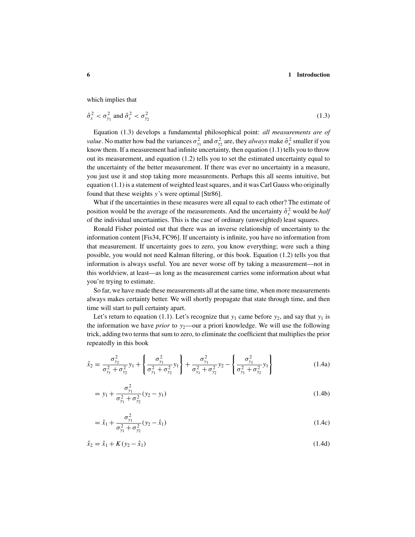which implies that

$$
\hat{\sigma}_x^2 < \sigma_{y_1}^2 \text{ and } \hat{\sigma}_x^2 < \sigma_{y_2}^2 \tag{1.3}
$$

Equation (1.3) develops a fundamental philosophical point: *all measurements are of value*. No matter how bad the variances  $\sigma_{y_1}^2$  and  $\sigma_{y_2}^2$  are, they *always* make  $\hat{\sigma}_x^2$  smaller if you know them. If a measurement had infinite uncertainty, then equation (1.1) tells you to throw out its measurement, and equation (1.2) tells you to set the estimated uncertainty equal to the uncertainty of the better measurement. If there was ever no uncertainty in a measure, you just use it and stop taking more measurements. Perhaps this all seems intuitive, but equation  $(1.1)$  is a statement of weighted least squares, and it was Carl Gauss who originally found that these weights *y*'s were optimal [Str86].

What if the uncertainties in these measures were all equal to each other? The estimate of position would be the average of the measurements. And the uncertainty  $\hat{\sigma}_x^2$  would be *half* of the individual uncertainties. This is the case of ordinary (unweighted) least squares.

Ronald Fisher pointed out that there was an inverse relationship of uncertainty to the information content [Fis34, FC96]. If uncertainty is infinite, you have no information from that measurement. If uncertainty goes to zero, you know everything; were such a thing possible, you would not need Kalman filtering, or this book. Equation (1.2) tells you that information is always useful. You are never worse off by taking a measurement—not in this worldview, at least—as long as the measurement carries some information about what you're trying to estimate.

So far, we have made these measurements all at the same time, when more measurements always makes certainty better. We will shortly propagate that state through time, and then time will start to pull certainty apart.

Let's return to equation (1.1). Let's recognize that  $y_1$  came before  $y_2$ , and say that  $y_1$  is the information we have *prior* to  $y_2$ —our a priori knowledge. We will use the following trick, adding two terms that sum to zero, to eliminate the coefficient that multiplies the prior repeatedly in this book

$$
\hat{x}_2 = \frac{\sigma_{y_2}^2}{\sigma_{y_1}^2 + \sigma_{y_2}^2} y_1 + \left\{ \frac{\sigma_{y_1}^2}{\sigma_{y_1}^2 + \sigma_{y_2}^2} y_1 \right\} + \frac{\sigma_{y_1}^2}{\sigma_{y_1}^2 + \sigma_{y_2}^2} y_2 - \left\{ \frac{\sigma_{y_1}^2}{\sigma_{y_1}^2 + \sigma_{y_2}^2} y_1 \right\}
$$
(1.4a)

$$
= y_1 + \frac{\sigma_{y_1}^2}{\sigma_{y_1}^2 + \sigma_{y_2}^2} (y_2 - y_1)
$$
\n(1.4b)

$$
= \hat{x}_1 + \frac{\sigma_{y_1}^2}{\sigma_{y_1}^2 + \sigma_{y_2}^2} (y_2 - \hat{x}_1)
$$
\n(1.4c)

$$
\hat{x}_2 = \hat{x}_1 + K(y_2 - \hat{x}_1) \tag{1.4d}
$$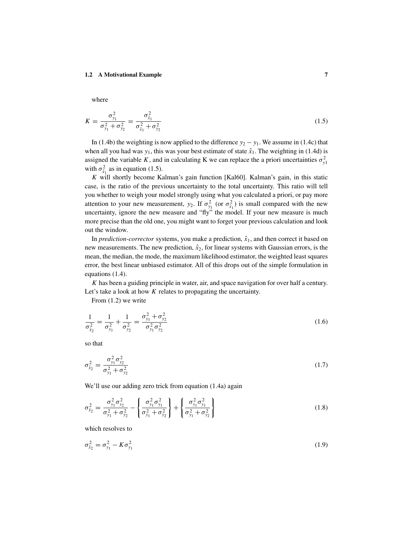# **1.2 A Motivational Example 7**

where

$$
K = \frac{\sigma_{y_1}^2}{\sigma_{y_1}^2 + \sigma_{y_2}^2} = \frac{\sigma_{\hat{x}_1}^2}{\sigma_{\hat{x}_1}^2 + \sigma_{y_2}^2}
$$
(1.5)

In (1.4b) the weighting is now applied to the difference  $y_2 - y_1$ . We assume in (1.4c) that when all you had was  $y_1$ , this was your best estimate of state  $\hat{x}_1$ . The weighting in (1.4d) is assigned the variable *K*, and in calculating K we can replace the a priori uncertainties  $\sigma_{y1}^2$ with  $\sigma_{\hat{x}_1}^2$  as in equation (1.5).

*K* will shortly become Kalman's gain function [Kal60]. Kalman's gain, in this static case, is the ratio of the previous uncertainty to the total uncertainty. This ratio will tell you whether to weigh your model strongly using what you calculated a priori, or pay more attention to your new measurement,  $y_2$ . If  $\sigma_{y_1}^2$  (or  $\sigma_{\hat{x}_1}^2$ ) is small compared with the new uncertainty, ignore the new measure and "fly" the model. If your new measure is much more precise than the old one, you might want to forget your previous calculation and look out the window.

In *prediction-corrector* systems, you make a prediction,  $\hat{x}_1$ , and then correct it based on new measurements. The new prediction,  $\hat{x}_2$ , for linear systems with Gaussian errors, is the mean, the median, the mode, the maximum likelihood estimator, the weighted least squares error, the best linear unbiased estimator. All of this drops out of the simple formulation in equations (1.4).

*K* has been a guiding principle in water, air, and space navigation for over half a century. Let's take a look at how *K* relates to propagating the uncertainty.

From (1.2) we write

$$
\frac{1}{\sigma_{\hat{x}_2}^2} = \frac{1}{\sigma_{y_1}^2} + \frac{1}{\sigma_{y_2}^2} = \frac{\sigma_{y_1}^2 + \sigma_{y_2}^2}{\sigma_{y_1}^2 \sigma_{y_2}^2}
$$
(1.6)

so that

$$
\sigma_{\hat{x}_2}^2 = \frac{\sigma_{y_1}^2 \sigma_{y_2}^2}{\sigma_{y_1}^2 + \sigma_{y_2}^2} \tag{1.7}
$$

We'll use our adding zero trick from equation  $(1.4a)$  again

$$
\sigma_{\hat{x}_2}^2 = \frac{\sigma_{y_1}^2 \sigma_{y_2}^2}{\sigma_{y_1}^2 + \sigma_{y_2}^2} - \left\{ \frac{\sigma_{y_1}^2 \sigma_{y_1}^2}{\sigma_{y_1}^2 + \sigma_{y_2}^2} \right\} + \left\{ \frac{\sigma_{y_1}^2 \sigma_{y_1}^2}{\sigma_{y_1}^2 + \sigma_{y_2}^2} \right\}
$$
(1.8)

which resolves to

$$
\sigma_{\hat{x}_2}^2 = \sigma_{y_1}^2 - K \sigma_{y_1}^2 \tag{1.9}
$$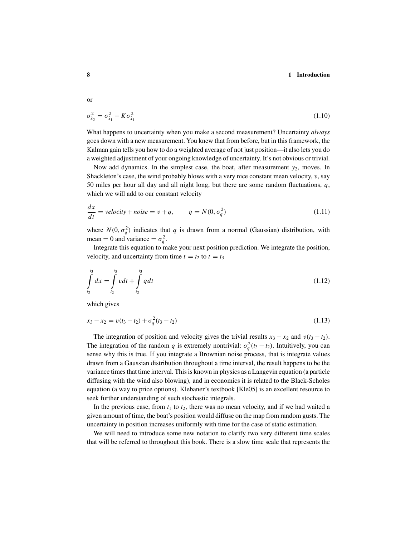or

$$
\sigma_{\hat{x}_2}^2 = \sigma_{\hat{x}_1}^2 - K \sigma_{\hat{x}_1}^2 \tag{1.10}
$$

What happens to uncertainty when you make a second measurement? Uncertainty *always* goes down with a new measurement. You knew that from before, but in this framework, the Kalman gain tells you how to do a weighted average of not just position—it also lets you do a weighted adjustment of your ongoing knowledge of uncertainty. It's not obvious or trivial.

Now add dynamics. In the simplest case, the boat, after measurement  $y_2$ , moves. In Shackleton's case, the wind probably blows with a very nice constant mean velocity, *v*, say 50 miles per hour all day and all night long, but there are some random fluctuations, *q*, which we will add to our constant velocity

$$
\frac{dx}{dt} = velocity + noise = v + q, \qquad q = N(0, \sigma_q^2)
$$
\n(1.11)

where  $N(0, \sigma_q^2)$  indicates that *q* is drawn from a normal (Gaussian) distribution, with mean = 0 and variance =  $\sigma_q^2$ .

Integrate this equation to make your next position prediction. We integrate the position, velocity, and uncertainty from time  $t = t_2$  to  $t = t_3$ 

$$
\int_{t_2}^{t_3} dx = \int_{t_2}^{t_3} v dt + \int_{t_2}^{t_3} q dt
$$
\n(1.12)

which gives

$$
x_3 - x_2 = v(t_3 - t_2) + \sigma_q^2(t_3 - t_2)
$$
\n(1.13)

The integration of position and velocity gives the trivial results  $x_3 - x_2$  and  $v(t_3 - t_2)$ . The integration of the random *q* is extremely nontrivial:  $\sigma_q^2(t_3 - t_2)$ . Intuitively, you can sense why this is true. If you integrate a Brownian noise process, that is integrate values drawn from a Gaussian distribution throughout a time interval, the result happens to be the variance times that time interval. This is known in physics as a Langevin equation (a particle diffusing with the wind also blowing), and in economics it is related to the Black-Scholes equation (a way to price options). Klebaner's textbook [Kle05] is an excellent resource to seek further understanding of such stochastic integrals.

In the previous case, from  $t_1$  to  $t_2$ , there was no mean velocity, and if we had waited a given amount of time, the boat's position would diffuse on the map from random gusts. The uncertainty in position increases uniformly with time for the case of static estimation.

We will need to introduce some new notation to clarify two very different time scales that will be referred to throughout this book. There is a slow time scale that represents the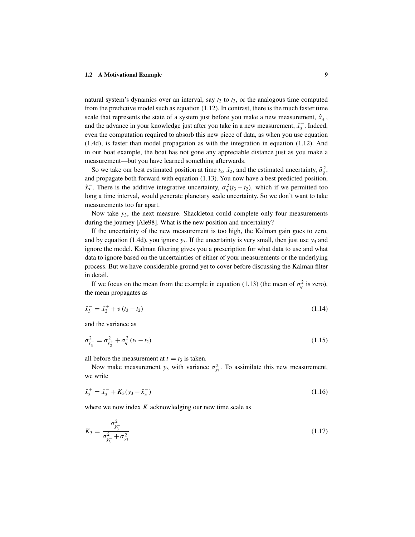natural system's dynamics over an interval, say  $t_2$  to  $t_3$ , or the analogous time computed from the predictive model such as equation (1.12). In contrast, there is the much faster time scale that represents the state of a system just before you make a new measurement,  $\hat{x}_3^-$ , and the advance in your knowledge just after you take in a new measurement,  $\hat{x}_3^+$ . Indeed, even the computation required to absorb this new piece of data, as when you use equation (1.4d), is faster than model propagation as with the integration in equation (1.12). And in our boat example, the boat has not gone any appreciable distance just as you make a measurement—but you have learned something afterwards.

So we take our best estimated position at time  $t_2$ ,  $\hat{x}_2$ , and the estimated uncertainty,  $\hat{\sigma}_q^2$ , and propagate both forward with equation (1.13). You now have a best predicted position,  $\hat{x}_3$ . There is the additive integrative uncertainty,  $\sigma_q^2(t_3 - t_2)$ , which if we permitted too long a time interval, would generate planetary scale uncertainty. So we don't want to take measurements too far apart.

Now take *y*3, the next measure. Shackleton could complete only four measurements during the journey [Ale98]. What is the new position and uncertainty?

If the uncertainty of the new measurement is too high, the Kalman gain goes to zero, and by equation (1.4d), you ignore  $y_3$ . If the uncertainty is very small, then just use  $y_3$  and ignore the model. Kalman filtering gives you a prescription for what data to use and what data to ignore based on the uncertainties of either of your measurements or the underlying process. But we have considerable ground yet to cover before discussing the Kalman filter in detail.

If we focus on the mean from the example in equation (1.13) (the mean of  $\sigma_q^2$  is zero), the mean propagates as

$$
\hat{x}_3^- = \hat{x}_2^+ + v(t_3 - t_2) \tag{1.14}
$$

and the variance as

$$
\sigma_{\hat{x}_3^-}^2 = \sigma_{\hat{x}_2^+}^2 + \sigma_q^2 \left( t_3 - t_2 \right) \tag{1.15}
$$

all before the measurement at  $t = t_3$  is taken.

Now make measurement  $y_3$  with variance  $\sigma_{y_3}^2$ . To assimilate this new measurement, we write

$$
\hat{x}_3^+ = \hat{x}_3^- + K_3(y_3 - \hat{x}_3^-) \tag{1.16}
$$

where we now index *K* acknowledging our new time scale as

$$
K_3 = \frac{\sigma_{\hat{x}_3^-}^2}{\sigma_{\hat{x}_3^-}^2 + \sigma_{y_3^2}^2} \tag{1.17}
$$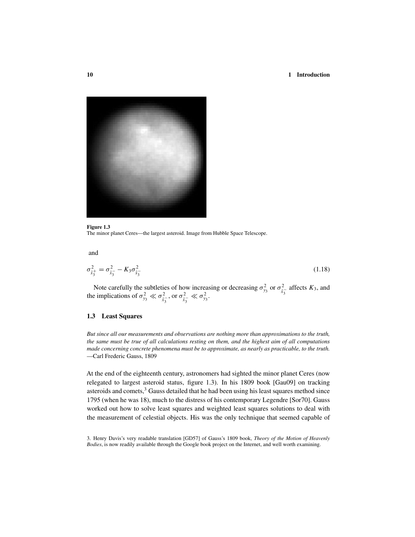

## **Figure 1.3** The minor planet Ceres—the largest asteroid. Image from Hubble Space Telescope.

and

$$
\sigma_{\hat{x}_3^+}^2 = \sigma_{\hat{x}_3^-}^2 - K_3 \sigma_{\hat{x}_3^-}^2 \tag{1.18}
$$

Note carefully the subtleties of how increasing or decreasing  $\sigma_{y_3}^2$  or  $\sigma_{\hat{x}_3}^2$  affects *K*<sub>3</sub>, and the implications of  $\sigma_{y_3}^2 \ll \sigma_{\hat{x}_3}^2$ , or  $\sigma_{\hat{x}_3}^2 \ll \sigma_{y_3}^2$ .

# **1.3 Least Squares**

*But since all our measurements and observations are nothing more than approximations to the truth, the same must be true of all calculations resting on them, and the highest aim of all computations made concerning concrete phenomena must be to approximate, as nearly as practicable, to the truth.* —Carl Frederic Gauss, 1809

At the end of the eighteenth century, astronomers had sighted the minor planet Ceres (now relegated to largest asteroid status, figure 1.3). In his 1809 book [Gau09] on tracking asteroids and comets, $3$  Gauss detailed that he had been using his least squares method since 1795 (when he was 18), much to the distress of his contemporary Legendre [Sor70]. Gauss worked out how to solve least squares and weighted least squares solutions to deal with the measurement of celestial objects. His was the only technique that seemed capable of

3. Henry Davis's very readable translation [GD57] of Gauss's 1809 book, *Theory of the Motion of Heavenly Bodies*, is now readily available through the Google book project on the Internet, and well worth examining.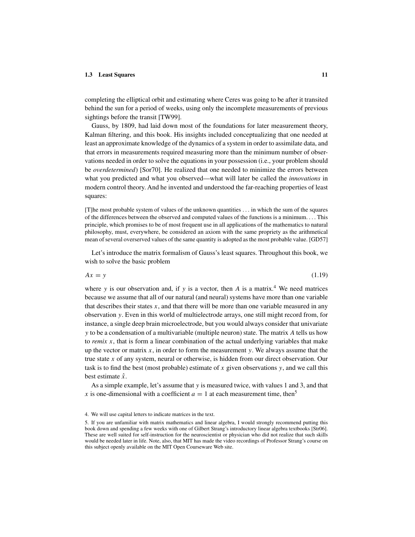# **1.3 Least Squares 11**

completing the elliptical orbit and estimating where Ceres was going to be after it transited behind the sun for a period of weeks, using only the incomplete measurements of previous sightings before the transit [TW99].

Gauss, by 1809, had laid down most of the foundations for later measurement theory, Kalman filtering, and this book. His insights included conceptualizing that one needed at least an approximate knowledge of the dynamics of a system in order to assimilate data, and that errors in measurements required measuring more than the minimum number of observations needed in order to solve the equations in your possession (i.e., your problem should be *overdetermined*) [Sor70]. He realized that one needed to minimize the errors between what you predicted and what you observed—what will later be called the *innovations* in modern control theory. And he invented and understood the far-reaching properties of least squares:

[T]he most probable system of values of the unknown quantities *...* in which the sum of the squares of the differences between the observed and computed values of the functions is a minimum*...* . This principle, which promises to be of most frequent use in all applications of the mathematics to natural philosophy, must, everywhere, be considered an axiom with the same propriety as the arithmetical mean of several overserved values of the same quantity is adopted as the most probable value. [GD57]

Let's introduce the matrix formalism of Gauss's least squares. Throughout this book, we wish to solve the basic problem

$$
Ax = y \tag{1.19}
$$

where *y* is our observation and, if *y* is a vector, then *A* is a matrix.<sup>4</sup> We need matrices because we assume that all of our natural (and neural) systems have more than one variable that describes their states *x*, and that there will be more than one variable measured in any observation *y*. Even in this world of multielectrode arrays, one still might record from, for instance, a single deep brain microelectrode, but you would always consider that univariate *y* to be a condensation of a multivariable (multiple neuron) state. The matrix *A* tells us how to *remix x*, that is form a linear combination of the actual underlying variables that make up the vector or matrix  $x$ , in order to form the measurement  $y$ . We always assume that the true state *x* of any system, neural or otherwise, is hidden from our direct observation. Our task is to find the best (most probable) estimate of *x* given observations *y*, and we call this best estimate *x*ˆ.

As a simple example, let's assume that *y* is measured twice, with values 1 and 3, and that *x* is one-dimensional with a coefficient  $a = 1$  at each measurement time, then<sup>5</sup>

4. We will use capital letters to indicate matrices in the text.

<sup>5.</sup> If you are unfamiliar with matrix mathematics and linear algebra, I would strongly recommend putting this book down and spending a few weeks with one of Gilbert Strang's introductory linear algebra textbooks [Str06]. These are well suited for self-instruction for the neuroscientist or physician who did not realize that such skills would be needed later in life. Note, also, that MIT has made the video recordings of Professor Strang's course on this subject openly available on the MIT Open Courseware Web site.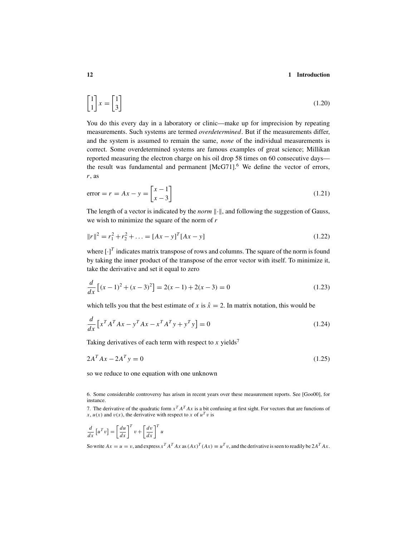$$
\begin{bmatrix} 1 \\ 1 \end{bmatrix} x = \begin{bmatrix} 1 \\ 3 \end{bmatrix} \tag{1.20}
$$

You do this every day in a laboratory or clinic—make up for imprecision by repeating measurements. Such systems are termed *overdetermined*. But if the measurements differ, and the system is assumed to remain the same, *none* of the individual measurements is correct. Some overdetermined systems are famous examples of great science; Millikan reported measuring the electron charge on his oil drop 58 times on 60 consecutive days the result was fundamental and permanent  $[McG71]$ <sup>6</sup>. We define the vector of errors, *r*, as

$$
error = r = Ax - y = \begin{bmatrix} x - 1 \\ x - 3 \end{bmatrix}
$$
\n(1.21)

The length of a vector is indicated by the *norm*  $\|\cdot\|$ , and following the suggestion of Gauss, we wish to minimize the square of the norm of *r*

$$
||r||^2 = r_1^2 + r_2^2 + \dots = [Ax - y]^T [Ax - y]
$$
\n(1.22)

where  $\left[\cdot\right]^T$  indicates matrix transpose of rows and columns. The square of the norm is found by taking the inner product of the transpose of the error vector with itself. To minimize it, take the derivative and set it equal to zero

$$
\frac{d}{dx}\left[ (x-1)^2 + (x-3)^2 \right] = 2(x-1) + 2(x-3) = 0
$$
\n(1.23)

which tells you that the best estimate of *x* is  $\hat{x} = 2$ . In matrix notation, this would be

$$
\frac{d}{dx}\left[x^T A^T A x - y^T A x - x^T A^T y + y^T y\right] = 0\tag{1.24}
$$

Taking derivatives of each term with respect to x yields<sup>7</sup>

$$
2AT Ax - 2AT y = 0
$$
\n
$$
(1.25)
$$

so we reduce to one equation with one unknown

7. The derivative of the quadratic form  $x^T A^T A x$  is a bit confusing at first sight. For vectors that are functions of  $x, u(x)$  and  $v(x)$ , the derivative with respect to *x* of  $u<sup>T</sup> v$  is

$$
\frac{d}{dx}\left[u^Tv\right] = \left[\frac{du}{dx}\right]^T v + \left[\frac{dv}{dx}\right]^T u
$$

So write  $Ax = u = v$ , and express  $x^T A^T A x$  as  $(Ax)^T (Ax) \equiv u^T v$ , and the derivative is seen to readily be  $2A^T A x$ .

<sup>6.</sup> Some considerable controversy has arisen in recent years over these measurement reports. See [Goo00], for instance.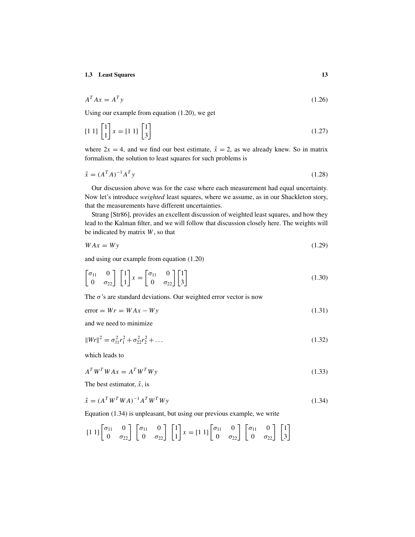$$
A^T A x = A^T y \tag{1.26}
$$

Using our example from equation (1.20), we get

$$
\begin{bmatrix} 1 & 1 \end{bmatrix} \begin{bmatrix} 1 \\ 1 \end{bmatrix} x = \begin{bmatrix} 1 & 1 \end{bmatrix} \begin{bmatrix} 1 \\ 3 \end{bmatrix} \tag{1.27}
$$

where  $2x = 4$ , and we find our best estimate,  $\hat{x} = 2$ , as we already knew. So in matrix formalism, the solution to least squares for such problems is

$$
\hat{x} = (A^T A)^{-1} A^T y \tag{1.28}
$$

Our discussion above was for the case where each measurement had equal uncertainty. Now let's introduce *weighted* least squares, where we assume, as in our Shackleton story, that the measurements have different uncertainties.

Strang [Str86], provides an excellent discussion of weighted least squares, and how they lead to the Kalman filter, and we will follow that discussion closely here. The weights will be indicated by matrix *W*, so that

$$
WAx = Wy \tag{1.29}
$$

and using our example from equation (1.20)

$$
\begin{bmatrix} \sigma_{11} & 0 \\ 0 & \sigma_{22} \end{bmatrix} \begin{bmatrix} 1 \\ 1 \end{bmatrix} x = \begin{bmatrix} \sigma_{11} & 0 \\ 0 & \sigma_{22} \end{bmatrix} \begin{bmatrix} 1 \\ 3 \end{bmatrix}
$$
 (1.30)

The  $\sigma$ 's are standard deviations. Our weighted error vector is now

 $error = Wr = WAx - Wy$  (1.31)

and we need to minimize

$$
||Wr||^2 = \sigma_{11}^2 r_1^2 + \sigma_{22}^2 r_2^2 + \dots \tag{1.32}
$$

which leads to

$$
A^T W^T W A x = A^T W^T W y \tag{1.33}
$$

The best estimator,  $\hat{x}$ , is

$$
\hat{x} = (A^T W^T W A)^{-1} A^T W^T W y \tag{1.34}
$$

Equation (1.34) is unpleasant, but using our previous example, we write

$$
\begin{bmatrix} 1 & 1 \end{bmatrix} \begin{bmatrix} \sigma_{11} & 0 \\ 0 & \sigma_{22} \end{bmatrix} \begin{bmatrix} \sigma_{11} & 0 \\ 0 & \sigma_{22} \end{bmatrix} \begin{bmatrix} 1 \\ 1 \end{bmatrix} x = \begin{bmatrix} 1 & 1 \end{bmatrix} \begin{bmatrix} \sigma_{11} & 0 \\ 0 & \sigma_{22} \end{bmatrix} \begin{bmatrix} \sigma_{11} & 0 \\ 0 & \sigma_{22} \end{bmatrix} \begin{bmatrix} 1 \\ 3 \end{bmatrix}
$$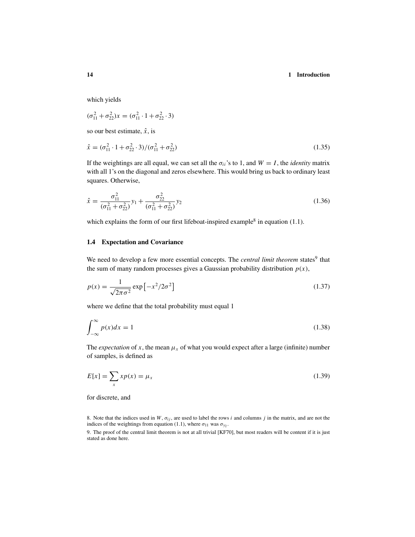which yields

$$
(\sigma_{11}^2 + \sigma_{22}^2)x = (\sigma_{11}^2 \cdot 1 + \sigma_{22}^2 \cdot 3)
$$

so our best estimate,  $\hat{x}$ , is

$$
\hat{x} = (\sigma_{11}^2 \cdot 1 + \sigma_{22}^2 \cdot 3) / (\sigma_{11}^2 + \sigma_{22}^2)
$$
\n(1.35)

If the weightings are all equal, we can set all the  $\sigma_{ii}$ 's to 1, and  $W = I$ , the *identity* matrix with all 1's on the diagonal and zeros elsewhere. This would bring us back to ordinary least squares. Otherwise,

$$
\hat{x} = \frac{\sigma_{11}^2}{(\sigma_{11}^2 + \sigma_{22}^2)} y_1 + \frac{\sigma_{22}^2}{(\sigma_{11}^2 + \sigma_{22}^2)} y_2
$$
\n(1.36)

which explains the form of our first lifeboat-inspired example<sup>8</sup> in equation  $(1.1)$ .

# **1.4 Expectation and Covariance**

We need to develop a few more essential concepts. The *central limit theorem* states<sup>9</sup> that the sum of many random processes gives a Gaussian probability distribution  $p(x)$ ,

$$
p(x) = \frac{1}{\sqrt{2\pi\sigma^2}} \exp\left[-x^2/2\sigma^2\right]
$$
\n(1.37)

where we define that the total probability must equal 1

$$
\int_{-\infty}^{\infty} p(x)dx = 1\tag{1.38}
$$

The *expectation* of *x*, the mean  $\mu_x$  of what you would expect after a large (infinite) number of samples, is defined as

$$
E[x] = \sum_{x} x p(x) = \mu_x \tag{1.39}
$$

for discrete, and

8. Note that the indices used in  $W$ ,  $\sigma_{ij}$ , are used to label the rows *i* and columns *j* in the matrix, and are not the indices of the weightings from equation (1.1), where  $\sigma_{11}$  was  $\sigma_{v_2}$ .

9. The proof of the central limit theorem is not at all trivial [KF70], but most readers will be content if it is just stated as done here.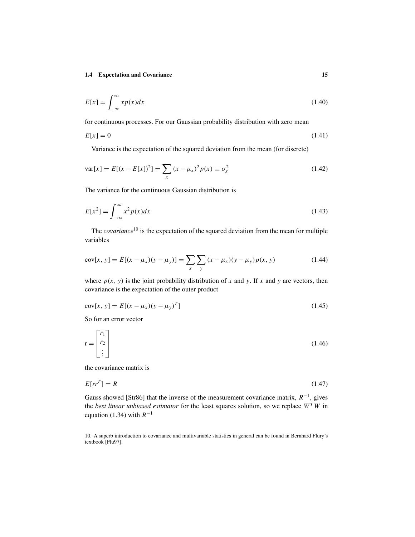$$
E[x] = \int_{-\infty}^{\infty} x p(x) dx
$$
 (1.40)

for continuous processes. For our Gaussian probability distribution with zero mean

$$
E[x] = 0 \tag{1.41}
$$

Variance is the expectation of the squared deviation from the mean (for discrete)

$$
var[x] = E[(x - E[x])^{2}] = \sum_{x} (x - \mu_{x})^{2} p(x) \equiv \sigma_{x}^{2}
$$
 (1.42)

The variance for the continuous Gaussian distribution is

$$
E[x^2] = \int_{-\infty}^{\infty} x^2 p(x) dx
$$
\n(1.43)

The *covariance*<sup>10</sup> is the expectation of the squared deviation from the mean for multiple variables

$$
cov[x, y] = E[(x - \mu_x)(y - \mu_y)] = \sum_{x} \sum_{y} (x - \mu_x)(y - \mu_y)p(x, y)
$$
(1.44)

where  $p(x, y)$  is the joint probability distribution of x and y. If x and y are vectors, then covariance is the expectation of the outer product

$$
cov[x, y] = E[(x - \mu_x)(y - \mu_y)^T]
$$
\n(1.45)

So for an error vector

$$
\mathbf{r} = \begin{bmatrix} r_1 \\ r_2 \\ \vdots \end{bmatrix} \tag{1.46}
$$

the covariance matrix is

$$
E[r^T] = R \tag{1.47}
$$

Gauss showed [Str86] that the inverse of the measurement covariance matrix, *R*<sup>−</sup>1, gives the *best linear unbiased estimator* for the least squares solution, so we replace *W<sup>T</sup> W* in equation (1.34) with *R*<sup>−</sup><sup>1</sup>

10. A superb introduction to covariance and multivariable statistics in general can be found in Bernhard Flury's textbook [Flu97].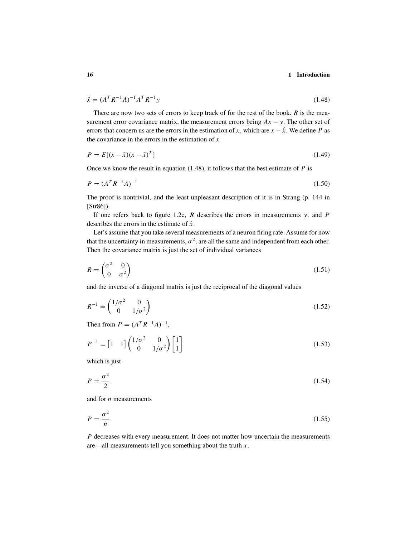$$
\hat{x} = (A^T R^{-1} A)^{-1} A^T R^{-1} y \tag{1.48}
$$

There are now two sets of errors to keep track of for the rest of the book. *R* is the measurement error covariance matrix, the measurement errors being  $Ax - y$ . The other set of errors that concern us are the errors in the estimation of *x*, which are  $x - \hat{x}$ . We define *P* as the covariance in the errors in the estimation of *x*

$$
P = E[(x - \hat{x})(x - \hat{x})^T]
$$
\n(1.49)

Once we know the result in equation (1.48), it follows that the best estimate of *P* is

$$
P = (A^T R^{-1} A)^{-1}
$$
 (1.50)

The proof is nontrivial, and the least unpleasant description of it is in Strang (p. 144 in [Str86]).

If one refers back to figure 1.2c, *R* describes the errors in measurements *y*, and *P* describes the errors in the estimate of *x*ˆ.

Let's assume that you take several measurements of a neuron firing rate. Assume for now that the uncertainty in measurements,  $\sigma^2$ , are all the same and independent from each other. Then the covariance matrix is just the set of individual variances

$$
R = \begin{pmatrix} \sigma^2 & 0 \\ 0 & \sigma^2 \end{pmatrix} \tag{1.51}
$$

and the inverse of a diagonal matrix is just the reciprocal of the diagonal values

$$
R^{-1} = \begin{pmatrix} 1/\sigma^2 & 0\\ 0 & 1/\sigma^2 \end{pmatrix} \tag{1.52}
$$

Then from  $P = (A^T R^{-1} A)^{-1}$ ,

$$
P^{-1} = \begin{bmatrix} 1 & 1 \end{bmatrix} \begin{pmatrix} 1/\sigma^2 & 0 \\ 0 & 1/\sigma^2 \end{pmatrix} \begin{bmatrix} 1 \\ 1 \end{bmatrix} \tag{1.53}
$$

which is just

$$
P = \frac{\sigma^2}{2} \tag{1.54}
$$

and for *n* measurements

$$
P = \frac{\sigma^2}{n} \tag{1.55}
$$

*P* decreases with every measurement. It does not matter how uncertain the measurements are—all measurements tell you something about the truth *x*.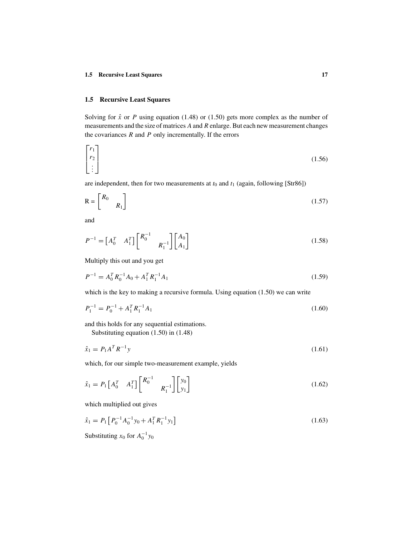# **1.5 Recursive Least Squares**

Solving for  $\hat{x}$  or *P* using equation (1.48) or (1.50) gets more complex as the number of measurements and the size of matrices *A* and *R* enlarge. But each new measurement changes the covariances *R* and *P* only incrementally. If the errors

$$
\begin{bmatrix} r_1 \\ r_2 \\ \vdots \end{bmatrix} \tag{1.56}
$$

are independent, then for two measurements at  $t_0$  and  $t_1$  (again, following [Str86])

$$
R = \begin{bmatrix} R_0 & \\ & R_1 \end{bmatrix} \tag{1.57}
$$

and

$$
P^{-1} = \begin{bmatrix} A_0^T & A_1^T \end{bmatrix} \begin{bmatrix} R_0^{-1} & & \\ & R_1^{-1} \end{bmatrix} \begin{bmatrix} A_0 \\ A_1 \end{bmatrix}
$$
 (1.58)

Multiply this out and you get

$$
P^{-1} = A_0^T R_0^{-1} A_0 + A_1^T R_1^{-1} A_1
$$
\n(1.59)

which is the key to making a recursive formula. Using equation (1.50) we can write

$$
P_1^{-1} = P_0^{-1} + A_1^T R_1^{-1} A_1 \tag{1.60}
$$

and this holds for any sequential estimations.

Substituting equation (1.50) in (1.48)

$$
\hat{x}_1 = P_1 A^T R^{-1} y \tag{1.61}
$$

which, for our simple two-measurement example, yields

$$
\hat{x}_1 = P_1 \begin{bmatrix} A_0^T & A_1^T \end{bmatrix} \begin{bmatrix} R_0^{-1} & & \\ & R_1^{-1} \end{bmatrix} \begin{bmatrix} y_0 \\ y_1 \end{bmatrix} \tag{1.62}
$$

which multiplied out gives

$$
\hat{x}_1 = P_1 \left[ P_0^{-1} A_0^{-1} y_0 + A_1^T R_1^{-1} y_1 \right]
$$
\n(1.63)

Substituting  $x_0$  for  $A_0^{-1}y_0$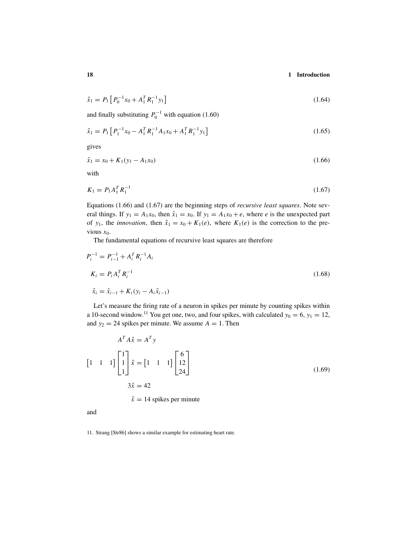$$
\hat{x}_1 = P_1 \left[ P_0^{-1} x_0 + A_1^T R_1^{-1} y_1 \right] \tag{1.64}
$$

and finally substituting  $P_0^{-1}$  with equation (1.60)

$$
\hat{x}_1 = P_1 \left[ P_1^{-1} x_0 - A_1^T R_1^{-1} A_1 x_0 + A_1^T R_1^{-1} y_1 \right]
$$
\n(1.65)

gives

$$
\hat{x}_1 = x_0 + K_1(y_1 - A_1 x_0) \tag{1.66}
$$

with

$$
K_1 = P_1 A_1^T R_1^{-1} \tag{1.67}
$$

Equations (1.66) and (1.67) are the beginning steps of *recursive least squares*. Note several things. If  $y_1 = A_1x_0$ , then  $\hat{x}_1 = x_0$ . If  $y_1 = A_1x_0 + e$ , where *e* is the unexpected part of *y*<sub>1</sub>, the *innovation*, then  $\hat{x}_1 = x_0 + K_1(e)$ , where  $K_1(e)$  is the correction to the previous  $x_0$ .

The fundamental equations of recursive least squares are therefore

$$
P_i^{-1} = P_{i-1}^{-1} + A_i^T R_i^{-1} A_i
$$
  
\n
$$
K_i = P_i A_i^T R_i^{-1}
$$
  
\n
$$
\hat{x}_i = \hat{x}_{i-1} + K_i (y_i - A_i \hat{x}_{i-1})
$$
\n(1.68)

Let's measure the firing rate of a neuron in spikes per minute by counting spikes within a 10-second window.<sup>11</sup> You get one, two, and four spikes, with calculated  $y_0 = 6$ ,  $y_1 = 12$ , and  $y_2 = 24$  spikes per minute. We assume  $A = 1$ . Then

$$
AT A\hat{x} = AT y
$$
  
\n
$$
\begin{bmatrix} 1 & 1 & 1 \end{bmatrix} \begin{bmatrix} 1 \\ 1 \\ 1 \end{bmatrix} \hat{x} = \begin{bmatrix} 1 & 1 & 1 \end{bmatrix} \begin{bmatrix} 6 \\ 12 \\ 24 \end{bmatrix}
$$
  
\n
$$
3\hat{x} = 42
$$
  
\n
$$
\hat{x} = 14 \text{ spikes per minute}
$$
 (1.69)

and

11. Strang [Str86] shows a similar example for estimating heart rate.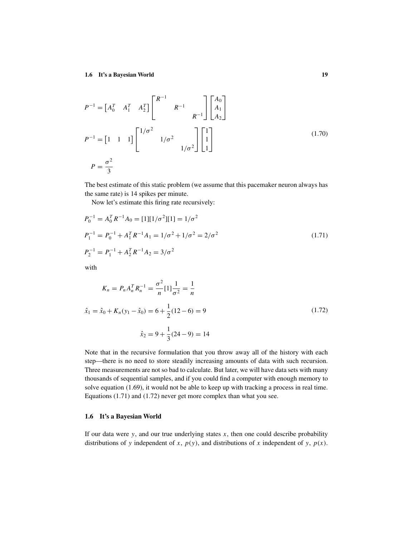$$
P^{-1} = \begin{bmatrix} A_0^T & A_1^T & A_2^T \end{bmatrix} \begin{bmatrix} R^{-1} & & & \\ & R^{-1} & & \\ & & R^{-1} \end{bmatrix} \begin{bmatrix} A_0 \\ A_1 \\ A_2 \end{bmatrix}
$$
  

$$
P^{-1} = \begin{bmatrix} 1 & 1 & 1 \end{bmatrix} \begin{bmatrix} 1/\sigma^2 & & \\ & 1/\sigma^2 & \\ & & 1/\sigma^2 \end{bmatrix} \begin{bmatrix} 1 \\ 1 \\ 1 \end{bmatrix}
$$
 (1.70)  

$$
P = \frac{\sigma^2}{3}
$$

The best estimate of this static problem (we assume that this pacemaker neuron always has the same rate) is 14 spikes per minute.

Now let's estimate this firing rate recursively:

$$
P_0^{-1} = A_0^T R^{-1} A_0 = [1][1/\sigma^2][1] = 1/\sigma^2
$$
  
\n
$$
P_1^{-1} = P_0^{-1} + A_1^T R^{-1} A_1 = 1/\sigma^2 + 1/\sigma^2 = 2/\sigma^2
$$
  
\n
$$
P_2^{-1} = P_1^{-1} + A_2^T R^{-1} A_2 = 3/\sigma^2
$$
\n(1.71)

with

$$
K_n = P_n A_n^T R_n^{-1} = \frac{\sigma^2}{n} [1] \frac{1}{\sigma^2} = \frac{1}{n}
$$
  

$$
\hat{x}_1 = \hat{x}_0 + K_n (y_1 - \hat{x}_0) = 6 + \frac{1}{2} (12 - 6) = 9
$$
  

$$
\hat{x}_2 = 9 + \frac{1}{3} (24 - 9) = 14
$$
 (1.72)

Note that in the recursive formulation that you throw away all of the history with each step—there is no need to store steadily increasing amounts of data with such recursion. Three measurements are not so bad to calculate. But later, we will have data sets with many thousands of sequential samples, and if you could find a computer with enough memory to solve equation (1.69), it would not be able to keep up with tracking a process in real time. Equations (1.71) and (1.72) never get more complex than what you see.

# **1.6 It's a Bayesian World**

If our data were  $y$ , and our true underlying states  $x$ , then one could describe probability distributions of *y* independent of *x*, *p(y)*, and distributions of *x* independent of *y*, *p(x)*.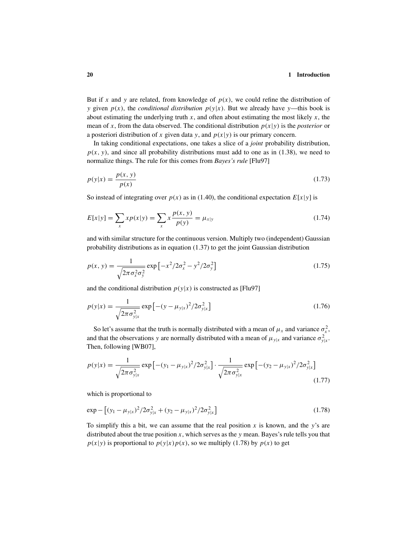But if x and y are related, from knowledge of  $p(x)$ , we could refine the distribution of *y* given  $p(x)$ , the *conditional distribution*  $p(y|x)$ . But we already have *y*—this book is about estimating the underlying truth  $x$ , and often about estimating the most likely  $x$ , the mean of *x*, from the data observed. The conditional distribution  $p(x|y)$  is the *posterior* or a posteriori distribution of x given data y, and  $p(x|y)$  is our primary concern.

In taking conditional expectations, one takes a slice of a *joint* probability distribution,  $p(x, y)$ , and since all probability distributions must add to one as in (1.38), we need to normalize things. The rule for this comes from *Bayes's rule* [Flu97]

$$
p(y|x) = \frac{p(x, y)}{p(x)}
$$
(1.73)

So instead of integrating over  $p(x)$  as in (1.40), the conditional expectation  $E[x|y]$  is

$$
E[x|y] = \sum_{x} x p(x|y) = \sum_{x} x \frac{p(x, y)}{p(y)} = \mu_{x|y}
$$
\n(1.74)

and with similar structure for the continuous version. Multiply two (independent) Gaussian probability distributions as in equation (1.37) to get the joint Gaussian distribution

$$
p(x, y) = \frac{1}{\sqrt{2\pi\sigma_x^2\sigma_y^2}} \exp\left[-x^2/2\sigma_x^2 - y^2/2\sigma_y^2\right]
$$
\n(1.75)

and the conditional distribution  $p(y|x)$  is constructed as [Flu97]

$$
p(y|x) = \frac{1}{\sqrt{2\pi\sigma_{y|x}^2}} \exp\left[-(y - \mu_{y|x})^2 / 2\sigma_{y|x}^2\right]
$$
\n(1.76)

So let's assume that the truth is normally distributed with a mean of  $\mu_x$  and variance  $\sigma_x^2$ , and that the observations *y* are normally distributed with a mean of  $\mu_{y|x}$  and variance  $\sigma_{y|x}^2$ . Then, following [WB07],

$$
p(y|x) = \frac{1}{\sqrt{2\pi\sigma_{y|x}^2}} \exp\left[-(y_1 - \mu_{y|x})^2 / 2\sigma_{y|x}^2\right] \cdot \frac{1}{\sqrt{2\pi\sigma_{y|x}^2}} \exp\left[-(y_2 - \mu_{y|x})^2 / 2\sigma_{y|x}^2\right]
$$
(1.77)

which is proportional to

$$
\exp - \left[ (y_1 - \mu_{y|x})^2 / 2\sigma_{y|x}^2 + (y_2 - \mu_{y|x})^2 / 2\sigma_{y|x}^2 \right] \tag{1.78}
$$

To simplify this a bit, we can assume that the real position *x* is known, and the *y*'s are distributed about the true position x, which serves as the  $y$  mean. Bayes's rule tells you that  $p(x|y)$  is proportional to  $p(y|x)p(x)$ , so we multiply (1.78) by  $p(x)$  to get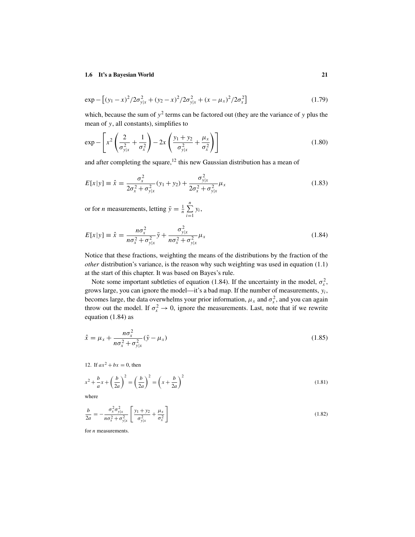$$
\exp - \left[ (y_1 - x)^2 / 2\sigma_{y|x}^2 + (y_2 - x)^2 / 2\sigma_{y|x}^2 + (x - \mu_x)^2 / 2\sigma_x^2 \right]
$$
 (1.79)

which, because the sum of  $y^2$  terms can be factored out (they are the variance of  $y$  plus the mean of *y*, all constants), simplifies to

$$
\exp -\left[x^2 \left(\frac{2}{\sigma_{y|x}^2} + \frac{1}{\sigma_x^2}\right) - 2x \left(\frac{y_1 + y_2}{\sigma_{y|x}^2} + \frac{\mu_x}{\sigma_x^2}\right)\right]
$$
(1.80)

and after completing the square, $12$  this new Gaussian distribution has a mean of

$$
E[x|y] \equiv \hat{x} = \frac{\sigma_x^2}{2\sigma_x^2 + \sigma_{y|x}^2} (y_1 + y_2) + \frac{\sigma_{y|x}^2}{2\sigma_x^2 + \sigma_{y|x}^2} \mu_x
$$
\n(1.83)

or for *n* measurements, letting  $\bar{y} = \frac{1}{n} \sum_{i=1}^{n}$  $\sum_{i=1} y_i$ 

$$
E[x|y] \equiv \hat{x} = \frac{n\sigma_x^2}{n\sigma_x^2 + \sigma_{y|x}^2} \bar{y} + \frac{\sigma_{y|x}^2}{n\sigma_x^2 + \sigma_{y|x}^2} \mu_x
$$
\n(1.84)

Notice that these fractions, weighting the means of the distributions by the fraction of the *other* distribution's variance, is the reason why such weighting was used in equation (1.1) at the start of this chapter. It was based on Bayes's rule.

Note some important subtleties of equation (1.84). If the uncertainty in the model,  $\sigma_x^2$ , grows large, you can ignore the model—it's a bad map. If the number of measurements, *yi*, becomes large, the data overwhelms your prior information,  $\mu_x$  and  $\sigma_x^2$ , and you can again throw out the model. If  $\sigma_x^2 \to 0$ , ignore the measurements. Last, note that if we rewrite equation (1.84) as

$$
\hat{x} = \mu_x + \frac{n\sigma_x^2}{n\sigma_x^2 + \sigma_{y|x}^2} (\bar{y} - \mu_x)
$$
\n(1.85)

12. If 
$$
ax^2 + bx = 0
$$
, then

$$
x^2 + \frac{b}{a}x + \left(\frac{b}{2a}\right)^2 = \left(\frac{b}{2a}\right)^2 = \left(x + \frac{b}{2a}\right)^2\tag{1.81}
$$

where

$$
\frac{b}{2a} = -\frac{\sigma_x^2 \sigma_{y|x}^2}{n\sigma_x^2 + \sigma_{y|x}^2} \left[ \frac{y_1 + y_2}{\sigma_{y|x}^2} + \frac{\mu_x}{\sigma_x^2} \right]
$$
(1.82)

for *n* measurements.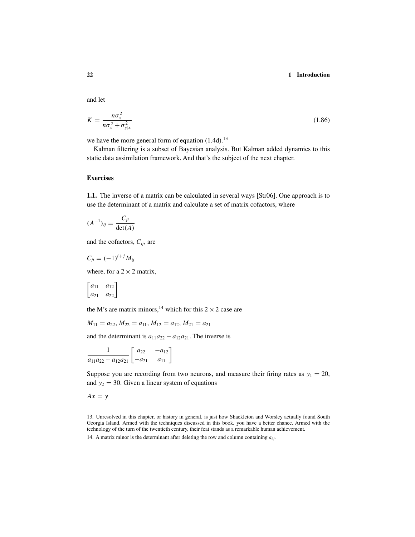and let

$$
K = \frac{n\sigma_x^2}{n\sigma_x^2 + \sigma_{y|x}^2} \tag{1.86}
$$

we have the more general form of equation  $(1.4d)$ .<sup>13</sup>

Kalman filtering is a subset of Bayesian analysis. But Kalman added dynamics to this static data assimilation framework. And that's the subject of the next chapter.

# **Exercises**

**1.1.** The inverse of a matrix can be calculated in several ways [Str06]. One approach is to use the determinant of a matrix and calculate a set of matrix cofactors, where

$$
(A^{-1})_{ij} = \frac{C_{ji}}{\det(A)}
$$

and the cofactors, *Cij*, are

$$
C_{ji} = (-1)^{i+j} M_{ij}
$$

where, for a  $2 \times 2$  matrix,

$$
\begin{bmatrix} a_{11} & a_{12} \\ a_{21} & a_{22} \end{bmatrix}
$$

the M's are matrix minors,<sup>14</sup> which for this  $2 \times 2$  case are

$$
M_{11} = a_{22}, M_{22} = a_{11}, M_{12} = a_{12}, M_{21} = a_{21}
$$

and the determinant is  $a_{11}a_{22} - a_{12}a_{21}$ . The inverse is

$$
\frac{1}{a_{11}a_{22}-a_{12}a_{21}}\begin{bmatrix} a_{22} & -a_{12} \ -a_{21} & a_{11} \end{bmatrix}
$$

Suppose you are recording from two neurons, and measure their firing rates as  $y_1 = 20$ , and  $y_2 = 30$ . Given a linear system of equations

 $Ax = y$ 

13. Unresolved in this chapter, or history in general, is just how Shackleton and Worsley actually found South Georgia Island. Armed with the techniques discussed in this book, you have a better chance. Armed with the technology of the turn of the twentieth century, their feat stands as a remarkable human achievement.

14. A matrix minor is the determinant after deleting the row and column containing *aij* .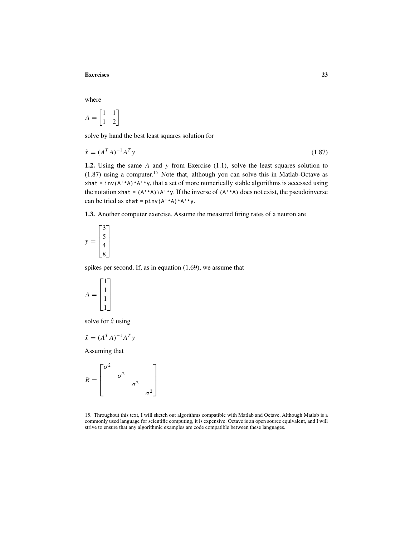## **Exercises 23**

where

$$
A = \begin{bmatrix} 1 & 1 \\ 1 & 2 \end{bmatrix}
$$

solve by hand the best least squares solution for

$$
\hat{x} = (A^T A)^{-1} A^T y \tag{1.87}
$$

**1.2.** Using the same *A* and *y* from Exercise (1.1), solve the least squares solution to  $(1.87)$  using a computer.<sup>15</sup> Note that, although you can solve this in Matlab-Octave as xhat = inv( $A' * A$ )\* $A' * y$ , that a set of more numerically stable algorithms is accessed using the notation xhat =  $(A^*A)$  \A'\*y. If the inverse of  $(A^*A)$  does not exist, the pseudoinverse can be tried as  $x$ hat = pinv(A'\*A)\*A'\*y.

**1.3.** Another computer exercise. Assume the measured firing rates of a neuron are

$$
y = \begin{bmatrix} 3 \\ 5 \\ 4 \\ 8 \end{bmatrix}
$$

spikes per second. If, as in equation (1.69), we assume that

$$
A = \begin{bmatrix} 1 \\ 1 \\ 1 \\ 1 \end{bmatrix}
$$

solve for  $\hat{x}$  using

$$
\hat{x} = (A^T A)^{-1} A^T y
$$

Assuming that

$$
R = \begin{bmatrix} \sigma^2 & & & \\ & \sigma^2 & & \\ & & \sigma^2 & \\ & & & \sigma^2 \end{bmatrix}
$$

15. Throughout this text, I will sketch out algorithms compatible with Matlab and Octave. Although Matlab is a commonly used language for scientific computing, it is expensive. Octave is an open source equivalent, and I will strive to ensure that any algorithmic examples are code compatible between these languages.